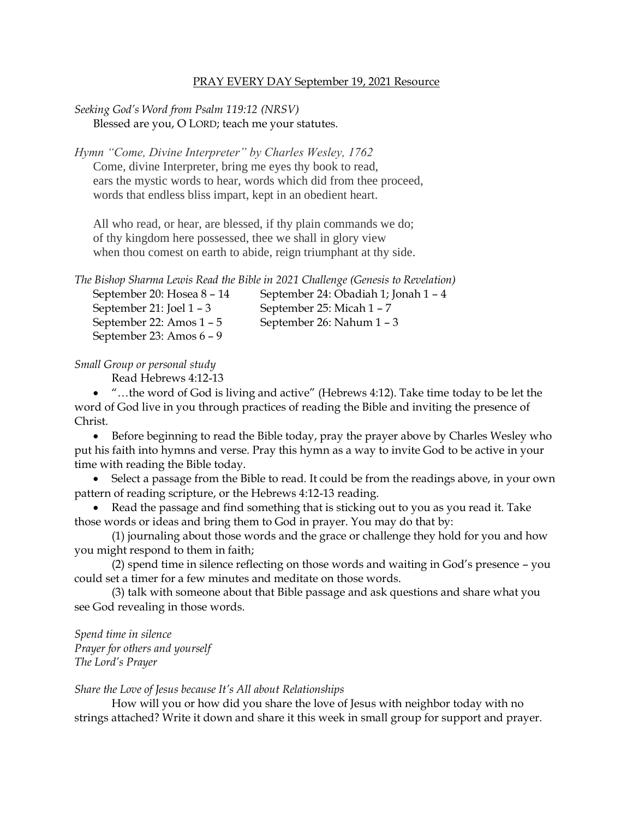## PRAY EVERY DAY September 19, 2021 Resource

## *Seeking God's Word from Psalm 119:12 (NRSV)* Blessed are you, O LORD; teach me your statutes.

*Hymn "Come, Divine Interpreter" by Charles Wesley, 1762*

Come, divine Interpreter, bring me eyes thy book to read, ears the mystic words to hear, words which did from thee proceed, words that endless bliss impart, kept in an obedient heart.

All who read, or hear, are blessed, if thy plain commands we do; of thy kingdom here possessed, thee we shall in glory view when thou comest on earth to abide, reign triumphant at thy side.

*The Bishop Sharma Lewis Read the Bible in 2021 Challenge (Genesis to Revelation)* September 20: Hosea 8 – 14 September 24: Obadiah 1; Jonah 1 – 4

September 21: Joel 1 – 3 September 25: Micah 1 – 7 September 22: Amos 1 – 5 September 26: Nahum 1 – 3 September 23: Amos 6 – 9

*Small Group or personal study*

Read Hebrews 4:12-13

• "…the word of God is living and active" (Hebrews 4:12). Take time today to be let the word of God live in you through practices of reading the Bible and inviting the presence of Christ.

• Before beginning to read the Bible today, pray the prayer above by Charles Wesley who put his faith into hymns and verse. Pray this hymn as a way to invite God to be active in your time with reading the Bible today.

• Select a passage from the Bible to read. It could be from the readings above, in your own pattern of reading scripture, or the Hebrews 4:12-13 reading.

• Read the passage and find something that is sticking out to you as you read it. Take those words or ideas and bring them to God in prayer. You may do that by:

(1) journaling about those words and the grace or challenge they hold for you and how you might respond to them in faith;

(2) spend time in silence reflecting on those words and waiting in God's presence – you could set a timer for a few minutes and meditate on those words.

(3) talk with someone about that Bible passage and ask questions and share what you see God revealing in those words.

*Spend time in silence Prayer for others and yourself The Lord's Prayer*

## *Share the Love of Jesus because It's All about Relationships*

How will you or how did you share the love of Jesus with neighbor today with no strings attached? Write it down and share it this week in small group for support and prayer.